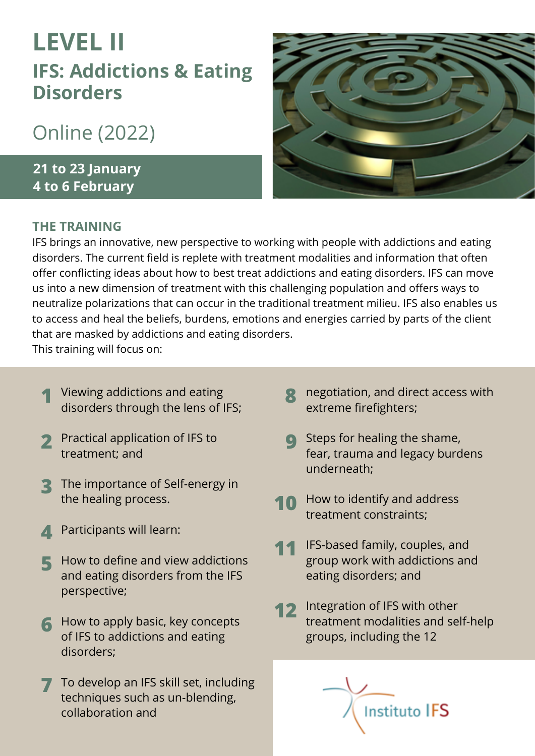# **LEVEL II IFS: Addictions & Eating Disorders**

## Online (2022)

**21 to 23 January 4 to 6 February**

#### **THE TRAINING**



IFS brings an innovative, new perspective to working with people with addictions and eating disorders. The current field is replete with treatment modalities and information that often offer conflicting ideas about how to best treat addictions and eating disorders. IFS can move us into a new dimension of treatment with this challenging population and offers ways to neutralize polarizations that can occur in the traditional treatment milieu. IFS also enables us to access and heal the beliefs, burdens, emotions and energies carried by parts of the client that are masked by addictions and eating disorders.

This training will focus on:

- **1** Viewing addictions and eating **1996**<br>discrete through the long of IEC. disorders through the lens of IFS;
- Practical application of IFS to **2** treatment; and
- The importance of Self-energy in **3** the healing process.
- Participants will learn: **4**
- How to define and view addictions and eating disorders from the IFS perspective; **5**
- **6** How to apply basic, key concepts of IFS to addictions and eating disorders;
- **7** To develop an IFS skill set, including techniques such as un-blending, collaboration and
- **R** negotiation, and direct access with extreme firefighters;
- Steps for healing the shame, fear, trauma and legacy burdens underneath; **9**
- How to identify and address treatment constraints; **10**
- IFS-based family, couples, and group work with addictions and eating disorders; and **11**
- Integration of IFS with other treatment modalities and self-help groups, including the 12 **12**

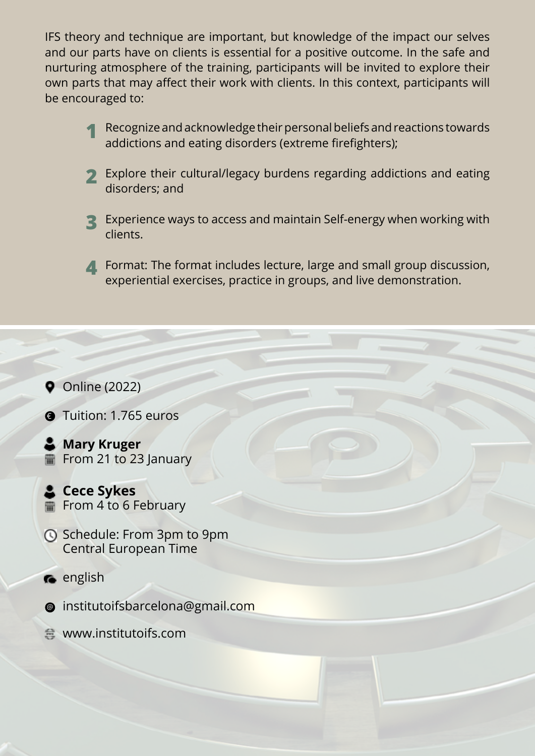IFS theory and technique are important, but knowledge of the impact our selves and our parts have on clients is essential for a positive outcome. In the safe and nurturing atmosphere of the training, participants will be invited to explore their own parts that may affect their work with clients. In this context, participants will be encouraged to:

- Recognize and acknowledge their personal beliefs and reactions towards addictions and eating disorders (extreme firefighters); **1**
- Explore their cultural/legacy burdens regarding addictions and eating **2** disorders; and
- Experience ways to access and maintain Self-energy when working with **3** clients.

**Format: The format includes lecture, large and small group discussion,** experiential exercises, practice in groups, and live demonstration.